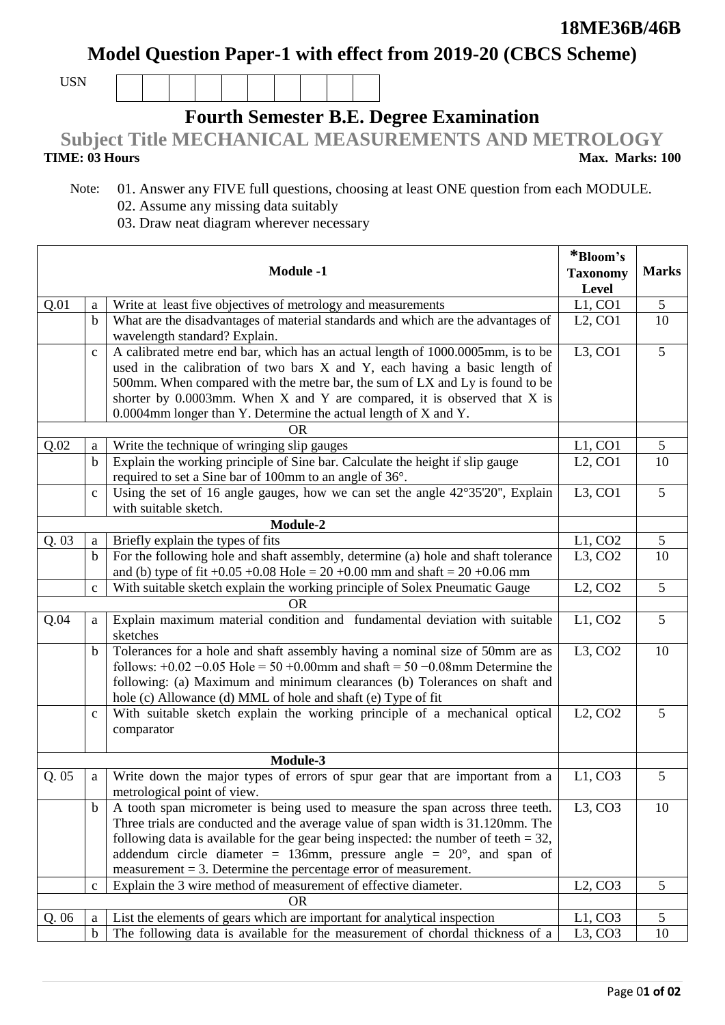**Model Question Paper-1 with effect from 2019-20 (CBCS Scheme)**

USN

## **Fourth Semester B.E. Degree Examination**

**Subject Title MECHANICAL MEASUREMENTS AND METROLOGY**

**TIME: 03 Hours** 

Π

 Note: 01. Answer any FIVE full questions, choosing at least ONE question from each MODULE. 02. Assume any missing data suitably

03. Draw neat diagram wherever necessary

|           |              |                                                                                          | *Bloom's               |                |
|-----------|--------------|------------------------------------------------------------------------------------------|------------------------|----------------|
|           |              | <b>Module -1</b>                                                                         | <b>Taxonomy</b>        | <b>Marks</b>   |
|           |              |                                                                                          | Level                  |                |
| Q.01      | a            | Write at least five objectives of metrology and measurements                             | L1, CO1                | 5              |
|           | $\mathbf b$  | What are the disadvantages of material standards and which are the advantages of         | $L2$ , CO1             | 10             |
|           |              | wavelength standard? Explain.                                                            |                        |                |
|           | $\mathbf{C}$ | A calibrated metre end bar, which has an actual length of 1000.0005mm, is to be          | $L3$ , CO1             | $\overline{5}$ |
|           |              | used in the calibration of two bars X and Y, each having a basic length of               |                        |                |
|           |              | 500mm. When compared with the metre bar, the sum of LX and Ly is found to be             |                        |                |
|           |              | shorter by $0.0003$ mm. When X and Y are compared, it is observed that X is              |                        |                |
|           |              | 0.0004mm longer than Y. Determine the actual length of X and Y.                          |                        |                |
|           |              | <b>OR</b>                                                                                |                        |                |
| Q.02      | a            | Write the technique of wringing slip gauges                                              | L1, CO1                | 5              |
|           | $\mathbf b$  | Explain the working principle of Sine bar. Calculate the height if slip gauge            | $L2$ , CO1             | 10             |
|           |              | required to set a Sine bar of 100mm to an angle of 36°.                                  |                        |                |
|           | $\mathbf c$  | Using the set of 16 angle gauges, how we can set the angle $42^{\circ}35'20''$ , Explain | $L3$ , CO1             | 5              |
|           |              | with suitable sketch.                                                                    |                        |                |
|           |              | Module-2                                                                                 |                        |                |
| Q.03      | a            | Briefly explain the types of fits                                                        | L1, CO2                | 5              |
|           | $\mathbf b$  | For the following hole and shaft assembly, determine (a) hole and shaft tolerance        | $L3$ , CO <sub>2</sub> | 10             |
|           |              | and (b) type of fit +0.05 +0.08 Hole = $20 +0.00$ mm and shaft = $20 +0.06$ mm           |                        |                |
|           | $\mathbf c$  | With suitable sketch explain the working principle of Solex Pneumatic Gauge              | L2, CO2                | 5              |
| <b>OR</b> |              |                                                                                          |                        |                |
| Q.04      | a            | Explain maximum material condition and fundamental deviation with suitable               | L1, CO2                | 5              |
|           |              | sketches                                                                                 |                        |                |
|           | $\mathbf b$  | Tolerances for a hole and shaft assembly having a nominal size of 50mm are as            | $L3$ , CO <sub>2</sub> | 10             |
|           |              | follows: $+0.02 -0.05$ Hole = 50 $+0.00$ mm and shaft = 50 $-0.08$ mm Determine the      |                        |                |
|           |              | following: (a) Maximum and minimum clearances (b) Tolerances on shaft and                |                        |                |
|           |              | hole (c) Allowance (d) MML of hole and shaft (e) Type of fit                             |                        |                |
|           | $\mathbf{C}$ | With suitable sketch explain the working principle of a mechanical optical               | L2, CO2                | 5              |
|           |              | comparator                                                                               |                        |                |
|           |              | Module-3                                                                                 |                        |                |
| Q.05      | a            | Write down the major types of errors of spur gear that are important from a              | L1, CO3                | 5              |
|           |              | metrological point of view.                                                              |                        |                |
|           | $\mathbf b$  | A tooth span micrometer is being used to measure the span across three teeth.            | L3, CO3                | 10             |
|           |              | Three trials are conducted and the average value of span width is 31.120mm. The          |                        |                |
|           |              | following data is available for the gear being inspected: the number of teeth $= 32$ ,   |                        |                |
|           |              | addendum circle diameter = 136mm, pressure angle = $20^{\circ}$ , and span of            |                        |                |
|           |              | measurement $=$ 3. Determine the percentage error of measurement.                        |                        |                |
|           | $\mathbf c$  | Explain the 3 wire method of measurement of effective diameter.                          | L2, CO3                | 5              |
|           |              | <b>OR</b>                                                                                |                        |                |
| Q. 06     | a            | List the elements of gears which are important for analytical inspection                 | L1, CO3                | 5              |
|           | $\mathbf b$  | The following data is available for the measurement of chordal thickness of a            | $L3$ , CO <sub>3</sub> | 10             |

**Max. Marks: 100**